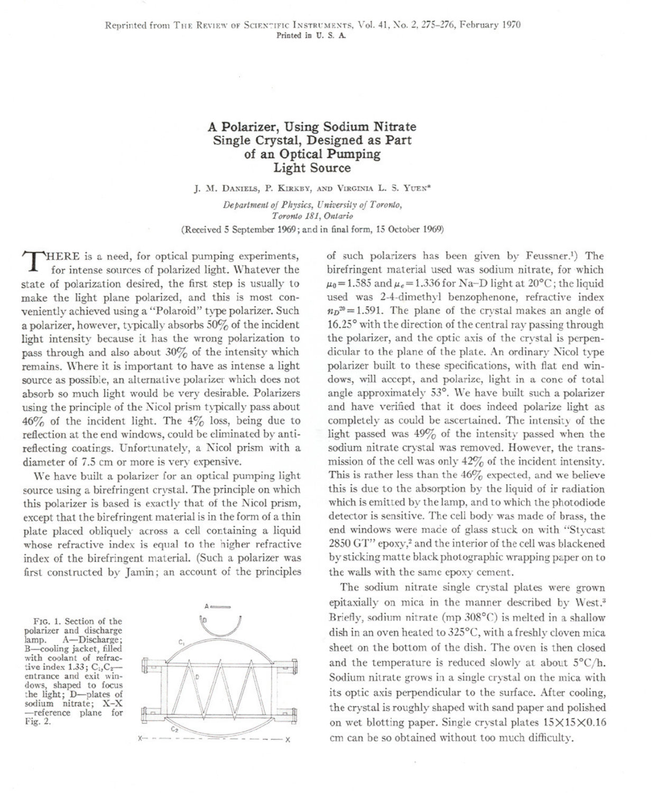## **A Polarizer, Using Sodium Nitrate Single Crystal, Designed as Part of an Optical Pumping Light Source**

J. M. DANIELS, P. KIRKBY, AND VIRGINIA L. S. YUEN\*

*Department oj Physics, University of Toronto, Toronto* 181, *Ontano* (Received 5 September 1969; and in final form, 15 October 1969)

HERE is a need, for optical pumping experiments, for intense sources of polarized light. Whatever the state of polarization desired, the first step is usually to make the light plane polarized, and this is most conveniently achieved using a "Polaroid" type polarizer. Such a polarizer, however, typically absorbs 50% of the incident light intensity because it has the wrong polarization to pass through and also about 30% of the intensity which remains. Where it is important to have as intense a light source as possible, an alternative polarizer which does not absorb so much light would be very desirable. Polarizers using the principle of the Nicol prism typically pass about  $46\%$  of the incident light. The  $4\%$  loss, being due to reflection at the end windows, could be eliminated by antireflecting coatings. Unfortunately, a Nicol prism with a diameter of 7.5 em or more is very expensive.

We have built a polarizer for an optical pumping light source using a birefringent crystal. The principle on which this polarizer is based is exactly that of the Nicol prism, except that the birefringent material is in the form of a thin plate placed obliquely across a cell containing a liquid whose refractive index is equal to the higher refractive index of the birefringent material. (Such a polarizer was first constructed by Jamin; an account of the principles

FIG. 1. Section of the polarizer and discharge<br>lamp. A-Discharge; A-Discharge; B-cooling jacket, filled with coolant of refrac-<br>tive index 1.33;  $C_1, C_2$  entrance and exit windows, shaped to focus the light; D-plates of<br>sodium nitrate; X-X -reference plane for Fig. 2.



of such polarizers has been given by Feussner.l) The birefringent material used was sodium nitrate, for 'which  $\mu_0$  = 1.585 and  $\mu_e$  = 1.336 for Na-D light at 20<sup>o</sup>C; the liquid used was 2-4-dimethyl benzophenone, refractive index  $n_D^{20}=1.591$ . The plane of the crystal makes an angle of *16.25°*with the direction of the central ray passing through the polarizer, and the optic axis of the crystal is perpendicular to the plane of the plate. An ordinary Nicol type polarizer built to these specifications, with flat end windows, will accept, and polarize, light in a cone of total angle approximately *53°.* We have built such a polarizer and have verified that it does indeed polarize light as completely as could be ascertained. The intensity of the light passed was 49% of the intensity passed when the sodium nitrate crystal was removed. However, the transmission of the cell was only  $42\%$  of the incident intensity. This is rather less than the  $46\%$  expected, and we believe this is due to the absorption by the liquid of ir radiation which is emitted by the lamp, and to which the photodiode detector is sensitive. The cell body was made of brass, the end windows were made of glass stuck on with "Stycast 2850 GT" epoxy,2and the interior of the cell was blackened by sticking matte black photographic wrapping paper on to the walls with the same epoxy cement.

The sodium nitrate single crystal plates were grown epitaxially on mica in the manner described by West.<sup>3</sup> Briefly, sodium nitrate (mp 308°C) is melted in a shallow dish in an oven heated to 325°C, with a freshly cloven mica sheet on the bottom of the dish. The oven is then closed and the temperature is reduced slowly at about  $5^{\circ}C/h$ . Sodium nitrate grows in a single crystal on the mica with its optic axis perpendicular to the surface. After cooling, the crystal is roughly shaped with sand paper and polished on wet blotting paper. Single crystal plates  $15 \times 15 \times 0.16$ em can be so obtained without too much difficulty.